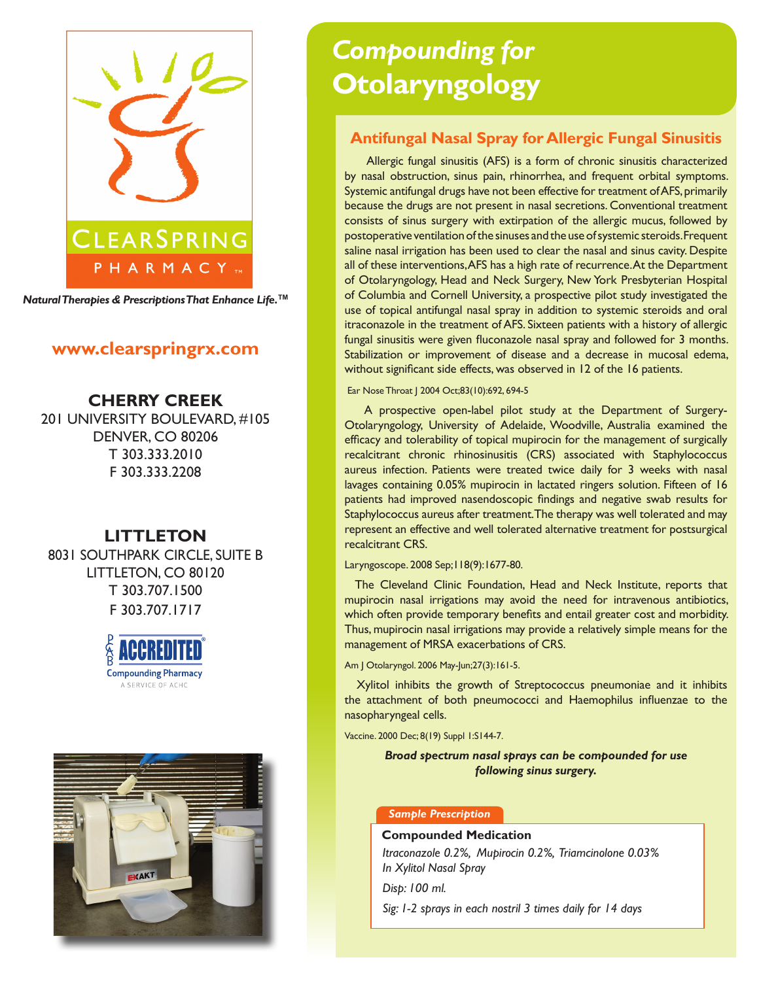

*Natural Therapies & Prescriptions That Enhance Life.***TM**

# **www.clearspringrx.com**

# **CHERRY CREEK** 201 UNIVERSITY BOULEVARD, #105

DENVER, CO 80206 T 303.333.2010 F 303.333.2208

# **LITTLETON**

8031 SOUTHPARK CIRCLE, SUITE B LITTLETON, CO 80120 T 303.707.1500 F 303.707.1717





# *Compounding for* **Otolaryngology**

# **Antifungal Nasal Spray for Allergic Fungal Sinusitis**

 Allergic fungal sinusitis (AFS) is a form of chronic sinusitis characterized by nasal obstruction, sinus pain, rhinorrhea, and frequent orbital symptoms. Systemic antifungal drugs have not been effective for treatment of AFS, primarily because the drugs are not present in nasal secretions. Conventional treatment consists of sinus surgery with extirpation of the allergic mucus, followed by postoperative ventilation of the sinuses and the use of systemic steroids. Frequent saline nasal irrigation has been used to clear the nasal and sinus cavity. Despite all of these interventions, AFS has a high rate of recurrence. At the Department of Otolaryngology, Head and Neck Surgery, New York Presbyterian Hospital of Columbia and Cornell University, a prospective pilot study investigated the use of topical antifungal nasal spray in addition to systemic steroids and oral itraconazole in the treatment of AFS. Sixteen patients with a history of allergic fungal sinusitis were given fluconazole nasal spray and followed for 3 months. Stabilization or improvement of disease and a decrease in mucosal edema, without significant side effects, was observed in 12 of the 16 patients.

Ear Nose Throat | 2004 Oct;83(10):692, 694-5

 A prospective open-label pilot study at the Department of Surgery-Otolaryngology, University of Adelaide, Woodville, Australia examined the efficacy and tolerability of topical mupirocin for the management of surgically recalcitrant chronic rhinosinusitis (CRS) associated with Staphylococcus aureus infection. Patients were treated twice daily for 3 weeks with nasal lavages containing 0.05% mupirocin in lactated ringers solution. Fifteen of 16 patients had improved nasendoscopic findings and negative swab results for Staphylococcus aureus after treatment. The therapy was well tolerated and may represent an effective and well tolerated alternative treatment for postsurgical recalcitrant CRS.

Laryngoscope. 2008 Sep;118(9):1677-80.

 The Cleveland Clinic Foundation, Head and Neck Institute, reports that mupirocin nasal irrigations may avoid the need for intravenous antibiotics, which often provide temporary benefits and entail greater cost and morbidity. Thus, mupirocin nasal irrigations may provide a relatively simple means for the management of MRSA exacerbations of CRS.

Am J Otolaryngol. 2006 May-Jun;27(3):161-5.

 Xylitol inhibits the growth of Streptococcus pneumoniae and it inhibits the attachment of both pneumococci and Haemophilus influenzae to the nasopharyngeal cells.

Vaccine. 2000 Dec; 8(19) Suppl 1:S144-7.

*Broad spectrum nasal sprays can be compounded for use following sinus surgery.*

#### *Sample Prescription*

#### **Compounded Medication**

*Itraconazole 0.2%, Mupirocin 0.2%, Triamcinolone 0.03% In Xylitol Nasal Spray* 

*Disp: 100 ml.* 

*Sig: 1-2 sprays in each nostril 3 times daily for 14 days*